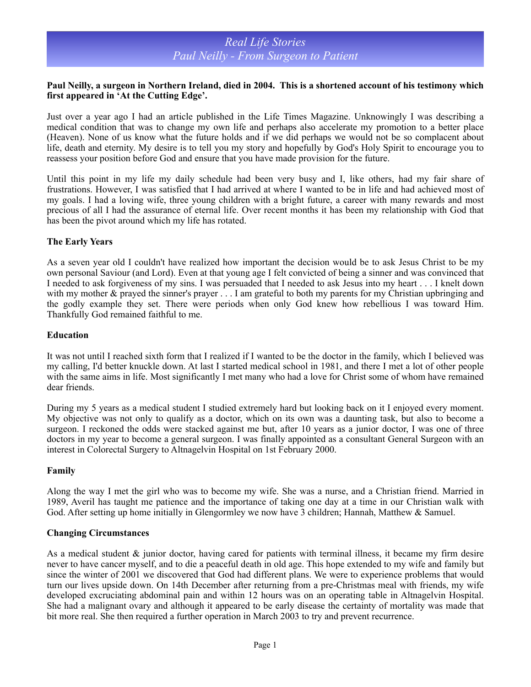### **Paul Neilly, a surgeon in Northern Ireland, died in 2004. This is a shortened account of his testimony which first appeared in 'At the Cutting Edge'.**

Just over a year ago I had an article published in the Life Times Magazine. Unknowingly I was describing a medical condition that was to change my own life and perhaps also accelerate my promotion to a better place (Heaven). None of us know what the future holds and if we did perhaps we would not be so complacent about life, death and eternity. My desire is to tell you my story and hopefully by God's Holy Spirit to encourage you to reassess your position before God and ensure that you have made provision for the future.

Until this point in my life my daily schedule had been very busy and I, like others, had my fair share of frustrations. However, I was satisfied that I had arrived at where I wanted to be in life and had achieved most of my goals. I had a loving wife, three young children with a bright future, a career with many rewards and most precious of all I had the assurance of eternal life. Over recent months it has been my relationship with God that has been the pivot around which my life has rotated.

#### **The Early Years**

As a seven year old I couldn't have realized how important the decision would be to ask Jesus Christ to be my own personal Saviour (and Lord). Even at that young age I felt convicted of being a sinner and was convinced that I needed to ask forgiveness of my sins. I was persuaded that I needed to ask Jesus into my heart . . . I knelt down with my mother & prayed the sinner's prayer . . . I am grateful to both my parents for my Christian upbringing and the godly example they set. There were periods when only God knew how rebellious I was toward Him. Thankfully God remained faithful to me.

#### **Education**

It was not until I reached sixth form that I realized if I wanted to be the doctor in the family, which I believed was my calling, I'd better knuckle down. At last I started medical school in 1981, and there I met a lot of other people with the same aims in life. Most significantly I met many who had a love for Christ some of whom have remained dear friends.

During my 5 years as a medical student I studied extremely hard but looking back on it I enjoyed every moment. My objective was not only to qualify as a doctor, which on its own was a daunting task, but also to become a surgeon. I reckoned the odds were stacked against me but, after 10 years as a junior doctor, I was one of three doctors in my year to become a general surgeon. I was finally appointed as a consultant General Surgeon with an interest in Colorectal Surgery to Altnagelvin Hospital on 1st February 2000.

### **Family**

Along the way I met the girl who was to become my wife. She was a nurse, and a Christian friend. Married in 1989, Averil has taught me patience and the importance of taking one day at a time in our Christian walk with God. After setting up home initially in Glengormley we now have 3 children; Hannah, Matthew & Samuel.

#### **Changing Circumstances**

As a medical student  $\&$  junior doctor, having cared for patients with terminal illness, it became my firm desire never to have cancer myself, and to die a peaceful death in old age. This hope extended to my wife and family but since the winter of 2001 we discovered that God had different plans. We were to experience problems that would turn our lives upside down. On 14th December after returning from a pre-Christmas meal with friends, my wife developed excruciating abdominal pain and within 12 hours was on an operating table in Altnagelvin Hospital. She had a malignant ovary and although it appeared to be early disease the certainty of mortality was made that bit more real. She then required a further operation in March 2003 to try and prevent recurrence.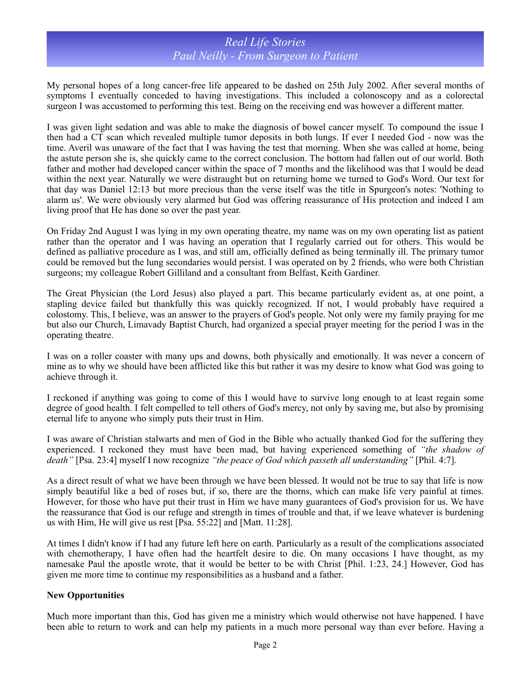## *Real Life Stories Paul Neilly - From Surgeon to Patient*

My personal hopes of a long cancer-free life appeared to be dashed on 25th July 2002. After several months of symptoms I eventually conceded to having investigations. This included a colonoscopy and as a colorectal surgeon I was accustomed to performing this test. Being on the receiving end was however a different matter.

I was given light sedation and was able to make the diagnosis of bowel cancer myself. To compound the issue I then had a CT scan which revealed multiple tumor deposits in both lungs. If ever I needed God - now was the time. Averil was unaware of the fact that I was having the test that morning. When she was called at home, being the astute person she is, she quickly came to the correct conclusion. The bottom had fallen out of our world. Both father and mother had developed cancer within the space of 7 months and the likelihood was that I would be dead within the next year. Naturally we were distraught but on returning home we turned to God's Word. Our text for that day was Daniel 12:13 but more precious than the verse itself was the title in Spurgeon's notes: 'Nothing to alarm us'. We were obviously very alarmed but God was offering reassurance of His protection and indeed I am living proof that He has done so over the past year.

On Friday 2nd August I was lying in my own operating theatre, my name was on my own operating list as patient rather than the operator and I was having an operation that I regularly carried out for others. This would be defined as palliative procedure as I was, and still am, officially defined as being terminally ill. The primary tumor could be removed but the lung secondaries would persist. I was operated on by 2 friends, who were both Christian surgeons; my colleague Robert Gilliland and a consultant from Belfast, Keith Gardiner.

The Great Physician (the Lord Jesus) also played a part. This became particularly evident as, at one point, a stapling device failed but thankfully this was quickly recognized. If not, I would probably have required a colostomy. This, I believe, was an answer to the prayers of God's people. Not only were my family praying for me but also our Church, Limavady Baptist Church, had organized a special prayer meeting for the period I was in the operating theatre.

I was on a roller coaster with many ups and downs, both physically and emotionally. It was never a concern of mine as to why we should have been afflicted like this but rather it was my desire to know what God was going to achieve through it.

I reckoned if anything was going to come of this I would have to survive long enough to at least regain some degree of good health. I felt compelled to tell others of God's mercy, not only by saving me, but also by promising eternal life to anyone who simply puts their trust in Him.

I was aware of Christian stalwarts and men of God in the Bible who actually thanked God for the suffering they experienced. I reckoned they must have been mad, but having experienced something of *"the shadow of death"* [Psa. 23:4] myself I now recognize *"the peace of God which passeth all understanding"* [Phil. 4:7].

As a direct result of what we have been through we have been blessed. It would not be true to say that life is now simply beautiful like a bed of roses but, if so, there are the thorns, which can make life very painful at times. However, for those who have put their trust in Him we have many guarantees of God's provision for us. We have the reassurance that God is our refuge and strength in times of trouble and that, if we leave whatever is burdening us with Him, He will give us rest [Psa. 55:22] and [Matt. 11:28].

At times I didn't know if I had any future left here on earth. Particularly as a result of the complications associated with chemotherapy, I have often had the heartfelt desire to die. On many occasions I have thought, as my namesake Paul the apostle wrote, that it would be better to be with Christ [Phil. 1:23, 24.] However, God has given me more time to continue my responsibilities as a husband and a father.

#### **New Opportunities**

Much more important than this, God has given me a ministry which would otherwise not have happened. I have been able to return to work and can help my patients in a much more personal way than ever before. Having a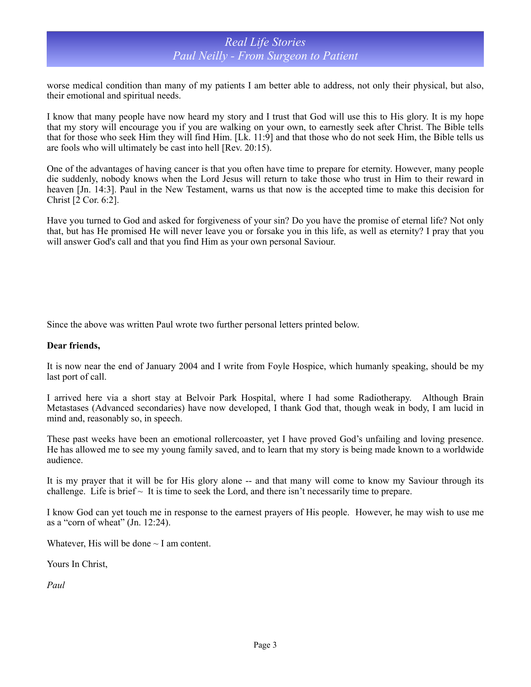# *Real Life Stories Paul Neilly - From Surgeon to Patient*

worse medical condition than many of my patients I am better able to address, not only their physical, but also, their emotional and spiritual needs.

I know that many people have now heard my story and I trust that God will use this to His glory. It is my hope that my story will encourage you if you are walking on your own, to earnestly seek after Christ. The Bible tells that for those who seek Him they will find Him. [Lk. 11:9] and that those who do not seek Him, the Bible tells us are fools who will ultimately be cast into hell [Rev. 20:15).

One of the advantages of having cancer is that you often have time to prepare for eternity. However, many people die suddenly, nobody knows when the Lord Jesus will return to take those who trust in Him to their reward in heaven [Jn. 14:3]. Paul in the New Testament, warns us that now is the accepted time to make this decision for Christ [2 Cor. 6:2].

Have you turned to God and asked for forgiveness of your sin? Do you have the promise of eternal life? Not only that, but has He promised He will never leave you or forsake you in this life, as well as eternity? I pray that you will answer God's call and that you find Him as your own personal Saviour.

Since the above was written Paul wrote two further personal letters printed below.

#### **Dear friends,**

It is now near the end of January 2004 and I write from Foyle Hospice, which humanly speaking, should be my last port of call.

I arrived here via a short stay at Belvoir Park Hospital, where I had some Radiotherapy. Although Brain Metastases (Advanced secondaries) have now developed, I thank God that, though weak in body, I am lucid in mind and, reasonably so, in speech.

These past weeks have been an emotional rollercoaster, yet I have proved God's unfailing and loving presence. He has allowed me to see my young family saved, and to learn that my story is being made known to a worldwide audience.

It is my prayer that it will be for His glory alone -- and that many will come to know my Saviour through its challenge. Life is brief  $\sim$  It is time to seek the Lord, and there isn't necessarily time to prepare.

I know God can yet touch me in response to the earnest prayers of His people. However, he may wish to use me as a "corn of wheat" (Jn. 12:24).

Whatever, His will be done  $\sim$  I am content.

Yours In Christ,

*Paul*